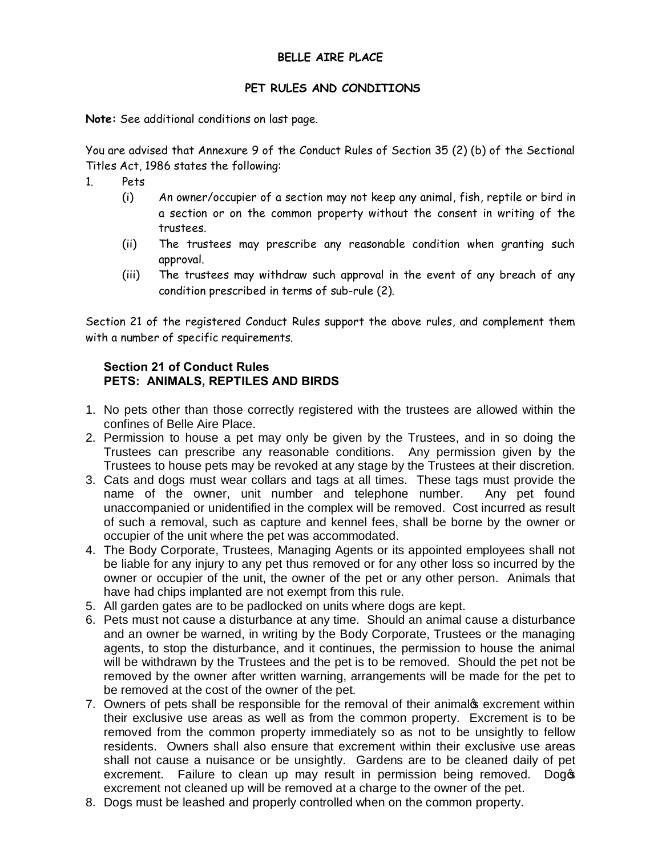## **BELLE AIRE PLACE**

## **PET RULES AND CONDITIONS**

**Note:** See additional conditions on last page.

You are advised that Annexure 9 of the Conduct Rules of Section 35 (2) (b) of the Sectional Titles Act, 1986 states the following:

- 1. Pets
	- (i) An owner/occupier of a section may not keep any animal, fish, reptile or bird in a section or on the common property without the consent in writing of the trustees.
	- (ii) The trustees may prescribe any reasonable condition when granting such approval.
	- (iii) The trustees may withdraw such approval in the event of any breach of any condition prescribed in terms of sub-rule (2).

Section 21 of the registered Conduct Rules support the above rules, and complement them with a number of specific requirements.

## **Section 21 of Conduct Rules PETS: ANIMALS, REPTILES AND BIRDS**

- 1. No pets other than those correctly registered with the trustees are allowed within the confines of Belle Aire Place.
- 2. Permission to house a pet may only be given by the Trustees, and in so doing the Trustees can prescribe any reasonable conditions. Any permission given by the Trustees to house pets may be revoked at any stage by the Trustees at their discretion.
- 3. Cats and dogs must wear collars and tags at all times. These tags must provide the name of the owner, unit number and telephone number. Any pet found unaccompanied or unidentified in the complex will be removed. Cost incurred as result of such a removal, such as capture and kennel fees, shall be borne by the owner or occupier of the unit where the pet was accommodated.
- 4. The Body Corporate, Trustees, Managing Agents or its appointed employees shall not be liable for any injury to any pet thus removed or for any other loss so incurred by the owner or occupier of the unit, the owner of the pet or any other person. Animals that have had chips implanted are not exempt from this rule.
- 5. All garden gates are to be padlocked on units where dogs are kept.
- 6. Pets must not cause a disturbance at any time. Should an animal cause a disturbance and an owner be warned, in writing by the Body Corporate, Trustees or the managing agents, to stop the disturbance, and it continues, the permission to house the animal will be withdrawn by the Trustees and the pet is to be removed. Should the pet not be removed by the owner after written warning, arrangements will be made for the pet to be removed at the cost of the owner of the pet.
- 7. Owners of pets shall be responsible for the removal of their animalos excrement within their exclusive use areas as well as from the common property. Excrement is to be removed from the common property immediately so as not to be unsightly to fellow residents. Owners shall also ensure that excrement within their exclusive use areas shall not cause a nuisance or be unsightly. Gardens are to be cleaned daily of pet excrement. Failure to clean up may result in permission being removed. Dog excrement not cleaned up will be removed at a charge to the owner of the pet.
- 8. Dogs must be leashed and properly controlled when on the common property.